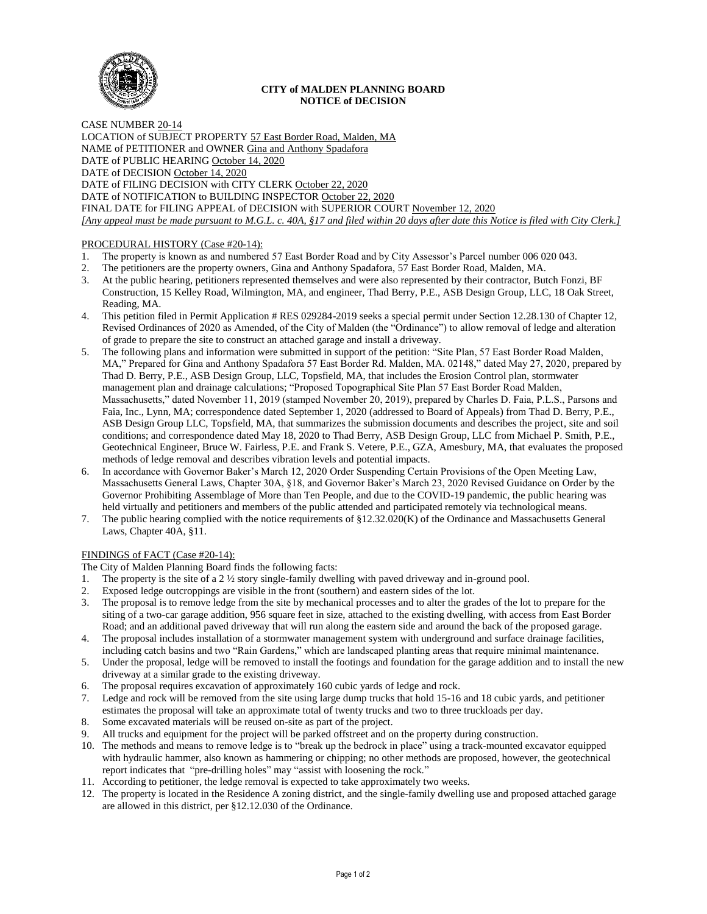

## **CITY of MALDEN PLANNING BOARD NOTICE of DECISION**

CASE NUMBER 20-14 LOCATION of SUBJECT PROPERTY 57 East Border Road, Malden, MA NAME of PETITIONER and OWNER Gina and Anthony Spadafora DATE of PUBLIC HEARING October 14, 2020 DATE of DECISION October 14, 2020 DATE of FILING DECISION with CITY CLERK October 22, 2020 DATE of NOTIFICATION to BUILDING INSPECTOR October 22, 2020 FINAL DATE for FILING APPEAL of DECISION with SUPERIOR COURT November 12, 2020 *[Any appeal must be made pursuant to M.G.L. c. 40A, §17 and filed within 20 days after date this Notice is filed with City Clerk.]* 

## PROCEDURAL HISTORY (Case #20-14):

- 1. The property is known as and numbered 57 East Border Road and by City Assessor's Parcel number 006 020 043.
- 2. The petitioners are the property owners, Gina and Anthony Spadafora, 57 East Border Road, Malden, MA.
- 3. At the public hearing, petitioners represented themselves and were also represented by their contractor, Butch Fonzi, BF Construction, 15 Kelley Road, Wilmington, MA, and engineer, Thad Berry, P.E., ASB Design Group, LLC, 18 Oak Street, Reading, MA.
- 4. This petition filed in Permit Application # RES 029284-2019 seeks a special permit under Section 12.28.130 of Chapter 12, Revised Ordinances of 2020 as Amended, of the City of Malden (the "Ordinance") to allow removal of ledge and alteration of grade to prepare the site to construct an attached garage and install a driveway.
- 5. The following plans and information were submitted in support of the petition: "Site Plan, 57 East Border Road Malden, MA," Prepared for Gina and Anthony Spadafora 57 East Border Rd. Malden, MA. 02148," dated May 27, 2020, prepared by Thad D. Berry, P.E., ASB Design Group, LLC, Topsfield, MA, that includes the Erosion Control plan, stormwater management plan and drainage calculations; "Proposed Topographical Site Plan 57 East Border Road Malden, Massachusetts," dated November 11, 2019 (stamped November 20, 2019), prepared by Charles D. Faia, P.L.S., Parsons and Faia, Inc., Lynn, MA; correspondence dated September 1, 2020 (addressed to Board of Appeals) from Thad D. Berry, P.E., ASB Design Group LLC, Topsfield, MA, that summarizes the submission documents and describes the project, site and soil conditions; and correspondence dated May 18, 2020 to Thad Berry, ASB Design Group, LLC from Michael P. Smith, P.E., Geotechnical Engineer, Bruce W. Fairless, P.E. and Frank S. Vetere, P.E., GZA, Amesbury, MA, that evaluates the proposed methods of ledge removal and describes vibration levels and potential impacts.
- 6. In accordance with Governor Baker's March 12, 2020 Order Suspending Certain Provisions of the Open Meeting Law, Massachusetts General Laws, Chapter 30A, §18, and Governor Baker's March 23, 2020 Revised Guidance on Order by the Governor Prohibiting Assemblage of More than Ten People, and due to the COVID-19 pandemic, the public hearing was held virtually and petitioners and members of the public attended and participated remotely via technological means.
- 7. The public hearing complied with the notice requirements of §12.32.020(K) of the Ordinance and Massachusetts General Laws, Chapter 40A, §11.

## FINDINGS of FACT (Case #20-14):

- The City of Malden Planning Board finds the following facts:
- 1. The property is the site of a 2 ½ story single-family dwelling with paved driveway and in-ground pool.
- 2. Exposed ledge outcroppings are visible in the front (southern) and eastern sides of the lot.
- 3. The proposal is to remove ledge from the site by mechanical processes and to alter the grades of the lot to prepare for the siting of a two-car garage addition, 956 square feet in size, attached to the existing dwelling, with access from East Border Road; and an additional paved driveway that will run along the eastern side and around the back of the proposed garage.
- 4. The proposal includes installation of a stormwater management system with underground and surface drainage facilities, including catch basins and two "Rain Gardens," which are landscaped planting areas that require minimal maintenance.
- 5. Under the proposal, ledge will be removed to install the footings and foundation for the garage addition and to install the new driveway at a similar grade to the existing driveway.
- 6. The proposal requires excavation of approximately 160 cubic yards of ledge and rock.
- 7. Ledge and rock will be removed from the site using large dump trucks that hold 15-16 and 18 cubic yards, and petitioner estimates the proposal will take an approximate total of twenty trucks and two to three truckloads per day.
- 8. Some excavated materials will be reused on-site as part of the project.
- 9. All trucks and equipment for the project will be parked offstreet and on the property during construction.
- 10. The methods and means to remove ledge is to "break up the bedrock in place" using a track-mounted excavator equipped with hydraulic hammer, also known as hammering or chipping; no other methods are proposed, however, the geotechnical report indicates that "pre-drilling holes" may "assist with loosening the rock."
- 11. According to petitioner, the ledge removal is expected to take approximately two weeks.
- 12. The property is located in the Residence A zoning district, and the single-family dwelling use and proposed attached garage are allowed in this district, per §12.12.030 of the Ordinance.